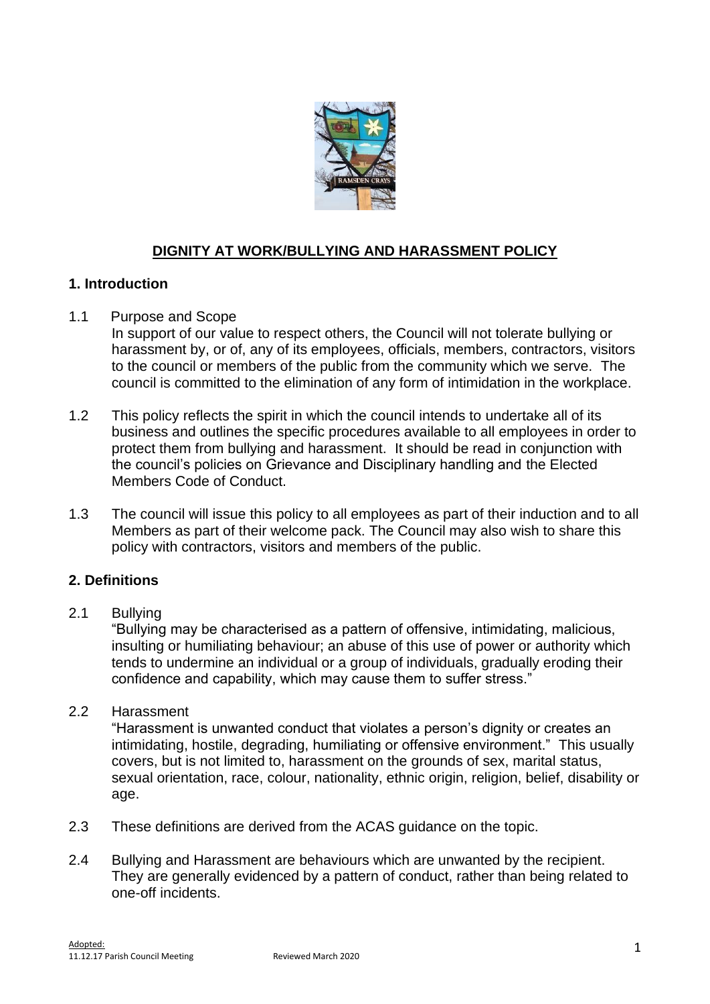

# **DIGNITY AT WORK/BULLYING AND HARASSMENT POLICY**

# **1. Introduction**

### 1.1 Purpose and Scope

- In support of our value to respect others, the Council will not tolerate bullying or harassment by, or of, any of its employees, officials, members, contractors, visitors to the council or members of the public from the community which we serve. The council is committed to the elimination of any form of intimidation in the workplace.
- 1.2 This policy reflects the spirit in which the council intends to undertake all of its business and outlines the specific procedures available to all employees in order to protect them from bullying and harassment. It should be read in conjunction with the council's policies on Grievance and Disciplinary handling and the Elected Members Code of Conduct.
- 1.3 The council will issue this policy to all employees as part of their induction and to all Members as part of their welcome pack. The Council may also wish to share this policy with contractors, visitors and members of the public.

### **2. Definitions**

### 2.1 Bullying

"Bullying may be characterised as a pattern of offensive, intimidating, malicious, insulting or humiliating behaviour; an abuse of this use of power or authority which tends to undermine an individual or a group of individuals, gradually eroding their confidence and capability, which may cause them to suffer stress."

#### 2.2 Harassment

"Harassment is unwanted conduct that violates a person's dignity or creates an intimidating, hostile, degrading, humiliating or offensive environment." This usually covers, but is not limited to, harassment on the grounds of sex, marital status, sexual orientation, race, colour, nationality, ethnic origin, religion, belief, disability or age.

- 2.3 These definitions are derived from the ACAS guidance on the topic.
- 2.4 Bullying and Harassment are behaviours which are unwanted by the recipient. They are generally evidenced by a pattern of conduct, rather than being related to one-off incidents.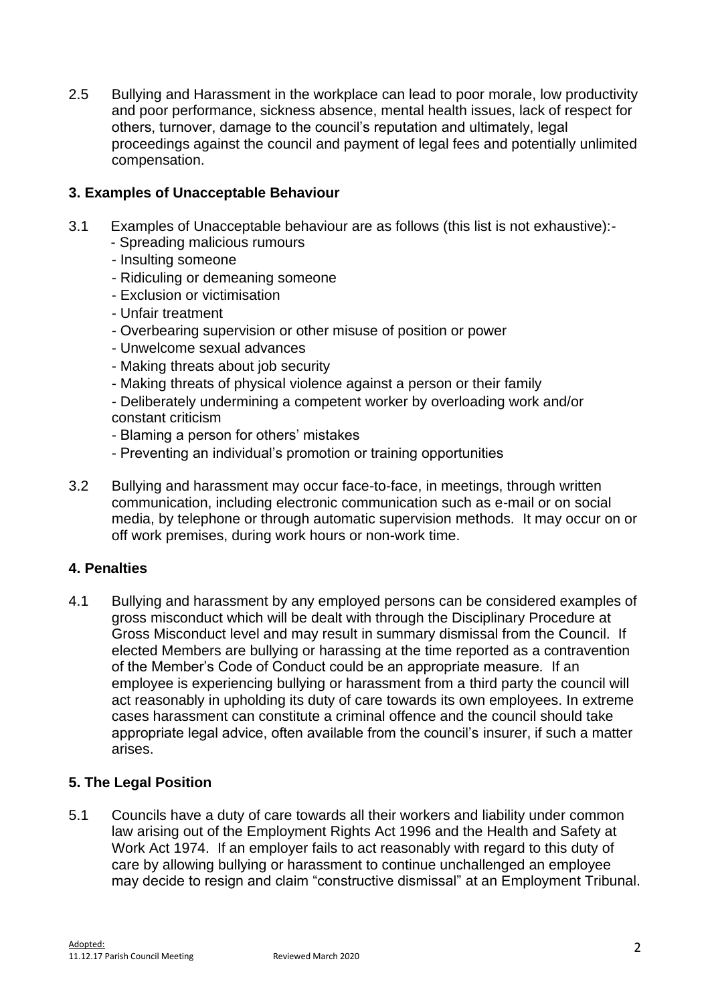2.5 Bullying and Harassment in the workplace can lead to poor morale, low productivity and poor performance, sickness absence, mental health issues, lack of respect for others, turnover, damage to the council's reputation and ultimately, legal proceedings against the council and payment of legal fees and potentially unlimited compensation.

## **3. Examples of Unacceptable Behaviour**

- 3.1 Examples of Unacceptable behaviour are as follows (this list is not exhaustive):- - Spreading malicious rumours
	- Insulting someone
	- Ridiculing or demeaning someone
	- Exclusion or victimisation
	- Unfair treatment
	- Overbearing supervision or other misuse of position or power
	- Unwelcome sexual advances
	- Making threats about job security
	- Making threats of physical violence against a person or their family
	- Deliberately undermining a competent worker by overloading work and/or constant criticism
	- Blaming a person for others' mistakes
	- Preventing an individual's promotion or training opportunities
- 3.2 Bullying and harassment may occur face-to-face, in meetings, through written communication, including electronic communication such as e-mail or on social media, by telephone or through automatic supervision methods. It may occur on or off work premises, during work hours or non-work time.

#### **4. Penalties**

4.1 Bullying and harassment by any employed persons can be considered examples of gross misconduct which will be dealt with through the Disciplinary Procedure at Gross Misconduct level and may result in summary dismissal from the Council. If elected Members are bullying or harassing at the time reported as a contravention of the Member's Code of Conduct could be an appropriate measure. If an employee is experiencing bullying or harassment from a third party the council will act reasonably in upholding its duty of care towards its own employees. In extreme cases harassment can constitute a criminal offence and the council should take appropriate legal advice, often available from the council's insurer, if such a matter arises.

#### **5. The Legal Position**

5.1 Councils have a duty of care towards all their workers and liability under common law arising out of the Employment Rights Act 1996 and the Health and Safety at Work Act 1974. If an employer fails to act reasonably with regard to this duty of care by allowing bullying or harassment to continue unchallenged an employee may decide to resign and claim "constructive dismissal" at an Employment Tribunal.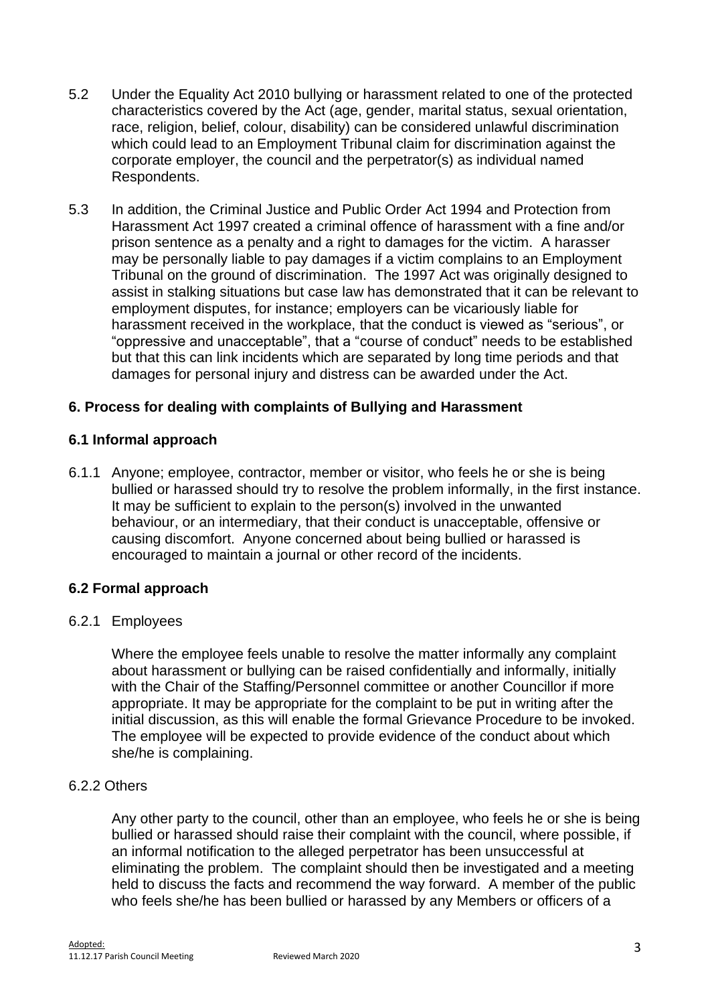- 5.2 Under the Equality Act 2010 bullying or harassment related to one of the protected characteristics covered by the Act (age, gender, marital status, sexual orientation, race, religion, belief, colour, disability) can be considered unlawful discrimination which could lead to an Employment Tribunal claim for discrimination against the corporate employer, the council and the perpetrator(s) as individual named Respondents.
- 5.3 In addition, the Criminal Justice and Public Order Act 1994 and Protection from Harassment Act 1997 created a criminal offence of harassment with a fine and/or prison sentence as a penalty and a right to damages for the victim. A harasser may be personally liable to pay damages if a victim complains to an Employment Tribunal on the ground of discrimination. The 1997 Act was originally designed to assist in stalking situations but case law has demonstrated that it can be relevant to employment disputes, for instance; employers can be vicariously liable for harassment received in the workplace, that the conduct is viewed as "serious", or "oppressive and unacceptable", that a "course of conduct" needs to be established but that this can link incidents which are separated by long time periods and that damages for personal injury and distress can be awarded under the Act.

### **6. Process for dealing with complaints of Bullying and Harassment**

#### **6.1 Informal approach**

6.1.1 Anyone; employee, contractor, member or visitor, who feels he or she is being bullied or harassed should try to resolve the problem informally, in the first instance. It may be sufficient to explain to the person(s) involved in the unwanted behaviour, or an intermediary, that their conduct is unacceptable, offensive or causing discomfort. Anyone concerned about being bullied or harassed is encouraged to maintain a journal or other record of the incidents.

#### **6.2 Formal approach**

#### 6.2.1 Employees

Where the employee feels unable to resolve the matter informally any complaint about harassment or bullying can be raised confidentially and informally, initially with the Chair of the Staffing/Personnel committee or another Councillor if more appropriate. It may be appropriate for the complaint to be put in writing after the initial discussion, as this will enable the formal Grievance Procedure to be invoked. The employee will be expected to provide evidence of the conduct about which she/he is complaining.

#### 6.2.2 Others

Any other party to the council, other than an employee, who feels he or she is being bullied or harassed should raise their complaint with the council, where possible, if an informal notification to the alleged perpetrator has been unsuccessful at eliminating the problem. The complaint should then be investigated and a meeting held to discuss the facts and recommend the way forward. A member of the public who feels she/he has been bullied or harassed by any Members or officers of a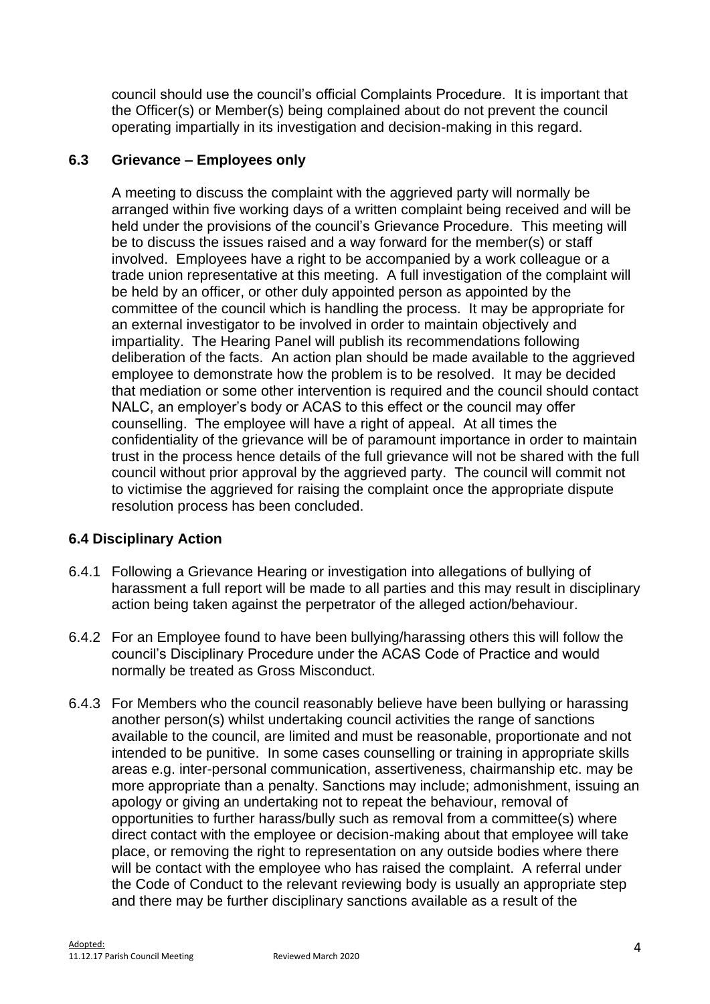council should use the council's official Complaints Procedure. It is important that the Officer(s) or Member(s) being complained about do not prevent the council operating impartially in its investigation and decision-making in this regard.

## **6.3 Grievance – Employees only**

A meeting to discuss the complaint with the aggrieved party will normally be arranged within five working days of a written complaint being received and will be held under the provisions of the council's Grievance Procedure. This meeting will be to discuss the issues raised and a way forward for the member(s) or staff involved. Employees have a right to be accompanied by a work colleague or a trade union representative at this meeting. A full investigation of the complaint will be held by an officer, or other duly appointed person as appointed by the committee of the council which is handling the process. It may be appropriate for an external investigator to be involved in order to maintain objectively and impartiality. The Hearing Panel will publish its recommendations following deliberation of the facts. An action plan should be made available to the aggrieved employee to demonstrate how the problem is to be resolved. It may be decided that mediation or some other intervention is required and the council should contact NALC, an employer's body or ACAS to this effect or the council may offer counselling. The employee will have a right of appeal. At all times the confidentiality of the grievance will be of paramount importance in order to maintain trust in the process hence details of the full grievance will not be shared with the full council without prior approval by the aggrieved party. The council will commit not to victimise the aggrieved for raising the complaint once the appropriate dispute resolution process has been concluded.

# **6.4 Disciplinary Action**

- 6.4.1 Following a Grievance Hearing or investigation into allegations of bullying of harassment a full report will be made to all parties and this may result in disciplinary action being taken against the perpetrator of the alleged action/behaviour.
- 6.4.2 For an Employee found to have been bullying/harassing others this will follow the council's Disciplinary Procedure under the ACAS Code of Practice and would normally be treated as Gross Misconduct.
- 6.4.3 For Members who the council reasonably believe have been bullying or harassing another person(s) whilst undertaking council activities the range of sanctions available to the council, are limited and must be reasonable, proportionate and not intended to be punitive. In some cases counselling or training in appropriate skills areas e.g. inter-personal communication, assertiveness, chairmanship etc. may be more appropriate than a penalty. Sanctions may include; admonishment, issuing an apology or giving an undertaking not to repeat the behaviour, removal of opportunities to further harass/bully such as removal from a committee(s) where direct contact with the employee or decision-making about that employee will take place, or removing the right to representation on any outside bodies where there will be contact with the employee who has raised the complaint. A referral under the Code of Conduct to the relevant reviewing body is usually an appropriate step and there may be further disciplinary sanctions available as a result of the